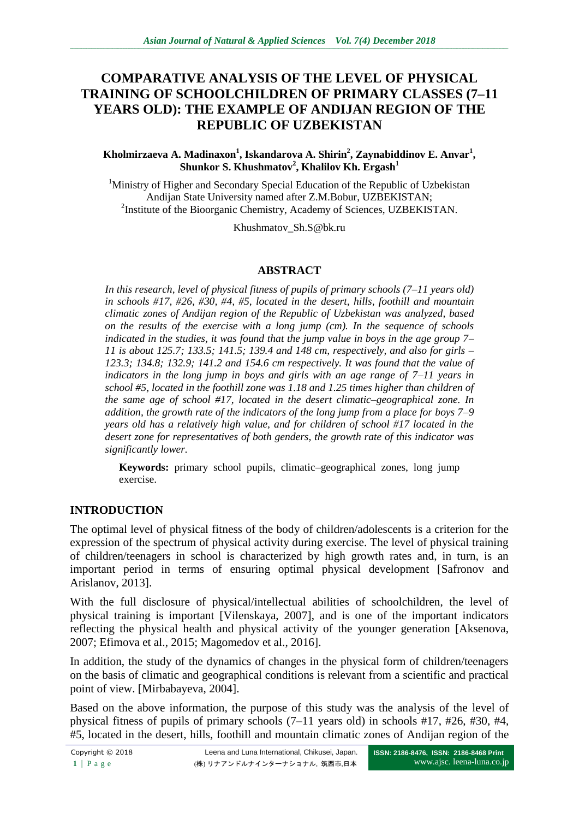# **COMPARATIVE ANALYSIS OF THE LEVEL OF PHYSICAL TRAINING OF SCHOOLCHILDREN OF PRIMARY CLASSES (7–11 YEARS OLD): THE EXAMPLE OF ANDIJAN REGION OF THE REPUBLIC OF UZBEKISTAN**

#### **Kholmirzaeva A. Madinaxon<sup>1</sup> , Iskandarova A. Shirin<sup>2</sup> , Zaynabiddinov E. Anvar<sup>1</sup> , Shunkor S. Khushmatov<sup>2</sup> , Khalilov Kh. Ergash<sup>1</sup>**

<sup>1</sup>Ministry of Higher and Secondary Special Education of the Republic of Uzbekistan Andijan State University named after Z.M.Bobur, UZBEKISTAN; <sup>2</sup>Institute of the Bioorganic Chemistry, Academy of Sciences, UZBEKISTAN.

[Khushmatov\\_Sh.S@bk.ru](mailto:Khushmatov_Sh.S@bk.ru)

#### **ABSTRACT**

*In this research, level of physical fitness of pupils of primary schools (7–11 years old) in schools #17, #26, #30, #4, #5, located in the desert, hills, foothill and mountain climatic zones of Andijan region of the Republic of Uzbekistan was analyzed, based on the results of the exercise with a long jump (cm). In the sequence of schools indicated in the studies, it was found that the jump value in boys in the age group 7– 11 is about 125.7; 133.5; 141.5; 139.4 and 148 cm, respectively, and also for girls – 123.3; 134.8; 132.9; 141.2 and 154.6 cm respectively. It was found that the value of indicators in the long jump in boys and girls with an age range of 7–11 years in school #5, located in the foothill zone was 1.18 and 1.25 times higher than children of the same age of school #17, located in the desert climatic–geographical zone. In addition, the growth rate of the indicators of the long jump from a place for boys 7–9 years old has a relatively high value, and for children of school #17 located in the desert zone for representatives of both genders, the growth rate of this indicator was significantly lower.* 

**Keywords:** primary school pupils, climatic–geographical zones, long jump exercise.

### **INTRODUCTION**

The optimal level of physical fitness of the body of children/adolescents is a criterion for the expression of the spectrum of physical activity during exercise. The level of physical training of children/teenagers in school is characterized by high growth rates and, in turn, is an important period in terms of ensuring optimal physical development [Safronov and Arislanov, 2013].

With the full disclosure of physical/intellectual abilities of schoolchildren, the level of physical training is important [Vilenskaya, 2007], and is one of the important indicators reflecting the physical health and physical activity of the younger generation [Aksenova, 2007; Efimova et al., 2015; Magomedov et al., 2016].

In addition, the study of the dynamics of changes in the physical form of children/teenagers on the basis of climatic and geographical conditions is relevant from a scientific and practical point of view. [Mirbabayeva, 2004].

Based on the above information, the purpose of this study was the analysis of the level of physical fitness of pupils of primary schools (7–11 years old) in schools #17, #26, #30, #4, #5, located in the desert, hills, foothill and mountain climatic zones of Andijan region of the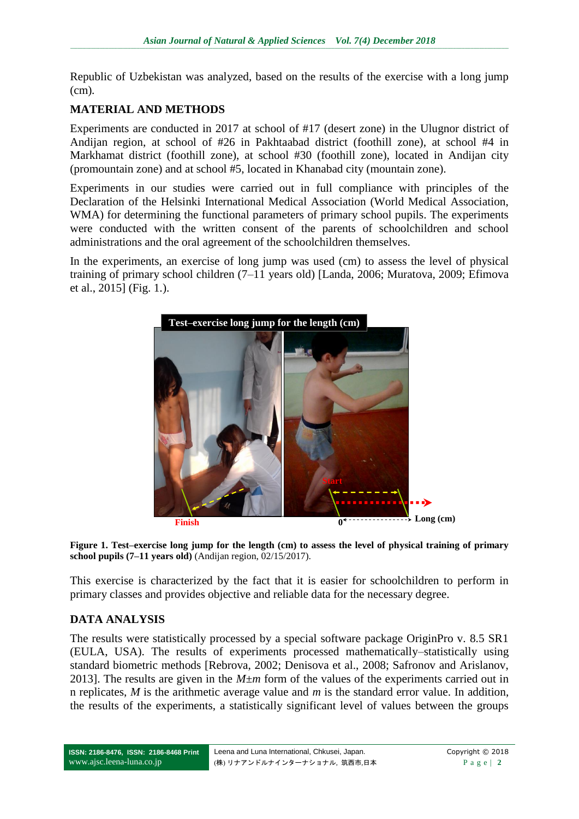Republic of Uzbekistan was analyzed, based on the results of the exercise with a long jump (cm)*.*

### **MATERIAL AND METHODS**

Experiments are conducted in 2017 at school of #17 (desert zone) in the Ulugnor district of Andijan region, at school of #26 in Pakhtaabad district (foothill zone), at school #4 in Markhamat district (foothill zone), at school #30 (foothill zone), located in Andijan city (promountain zone) and at school #5, located in Khanabad city (mountain zone).

Experiments in our studies were carried out in full compliance with principles of the Declaration of the Helsinki International Medical Association (World Medical Association, WMA) for determining the functional parameters of primary school pupils. The experiments were conducted with the written consent of the parents of schoolchildren and school administrations and the oral agreement of the schoolchildren themselves.

In the experiments, an exercise of long jump was used (cm) to assess the level of physical training of primary school children (7–11 years old) [Landa, 2006; Muratova, 2009; Efimova et al., 2015] (Fig. 1.).





This exercise is characterized by the fact that it is easier for schoolchildren to perform in primary classes and provides objective and reliable data for the necessary degree.

# **DATA ANALYSIS**

The results were statistically processed by a special software package OriginPro v. 8.5 SR1 (EULA, USA). The results of experiments processed mathematically–statistically using standard biometric methods [Rebrova, 2002; Denisova et al., 2008; Safronov and Arislanov, 2013]. The results are given in the *M±m* form of the values of the experiments carried out in n replicates, *M* is the arithmetic average value and *m* is the standard error value. In addition, the results of the experiments, a statistically significant level of values between the groups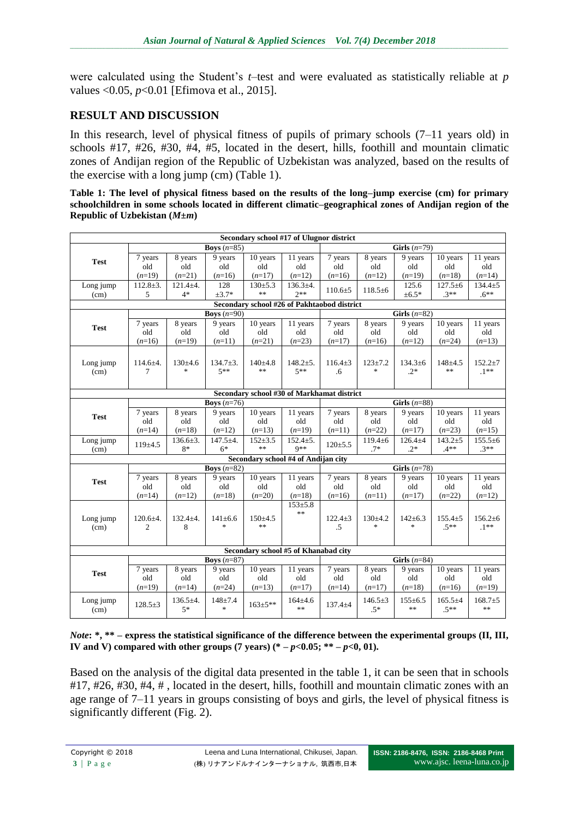were calculated using the Student's *t*–test and were evaluated as statistically reliable at *p*  values <0.05, *p*<0.01 [Efimova et al., 2015].

# **RESULT AND DISCUSSION**

In this research, level of physical fitness of pupils of primary schools (7–11 years old) in schools #17, #26, #30, #4, #5, located in the desert, hills, foothill and mountain climatic zones of Andijan region of the Republic of Uzbekistan was analyzed*,* based on the results of the exercise with a long jump (cm) (Table 1).

|                                    |  |  |  | Table 1: The level of physical fitness based on the results of the long-jump exercise (cm) for primary   |
|------------------------------------|--|--|--|----------------------------------------------------------------------------------------------------------|
|                                    |  |  |  | schoolchildren in some schools located in different climatic-geographical zones of Andijan region of the |
| Republic of Uzbekistan $(M \pm m)$ |  |  |  |                                                                                                          |

| Secondary school #17 of Ulugnor district    |                      |                |                      |               |                         |                |                      |                |               |               |  |  |
|---------------------------------------------|----------------------|----------------|----------------------|---------------|-------------------------|----------------|----------------------|----------------|---------------|---------------|--|--|
|                                             |                      |                | Boys $(n=85)$        |               |                         |                |                      | Girls $(n=79)$ |               |               |  |  |
| <b>Test</b>                                 | 7 years              | 8 years        | 9 years              | 10 years      | 11 years                | 7 years        | 8 years              | 9 years        | 10 years      | 11 years      |  |  |
|                                             | old                  | old            | old                  | old           | old                     | old            | old                  | old            | old           | old           |  |  |
|                                             | $(n=19)$             | $(n=21)$       | $(n=16)$             | $(n=17)$      | $(n=12)$                | $(n=16)$       | $(n=12)$             | $(n=19)$       | $(n=18)$      | $(n=14)$      |  |  |
| Long jump                                   | $112.8 \pm 3.$       | $121.4 + 4.$   | 128                  | $130+5.3$     | $136.3+4.$              |                |                      | 125.6          | $127.5 \pm 6$ | $134.4 + 5$   |  |  |
| (cm)                                        | 5                    | $4*$           | $±3.7*$              | $\ast$        | $2**$                   | $110.6 \pm 5$  | $118.5 \pm 6$        | $±6.5*$        | $.3**$        | $.6***$       |  |  |
| Secondary school #26 of Pakhtaobod district |                      |                |                      |               |                         |                |                      |                |               |               |  |  |
|                                             | <b>Boys</b> $(n=90)$ |                |                      |               |                         | Girls $(n=82)$ |                      |                |               |               |  |  |
| <b>Test</b>                                 | 7 years              | 8 years        | 9 years              | 10 years      | 11 years                | 7 years        | 8 years              | 9 years        | 10 years      | 11 years      |  |  |
|                                             | old                  | old            | old                  | old           | old                     | old            | old                  | old            | old           | old           |  |  |
|                                             | $(n=16)$             | $(n=19)$       | $(n=11)$             | $(n=21)$      | $(n=23)$                | $(n=17)$       | $(n=16)$             | $(n=12)$       | $(n=24)$      | $(n=13)$      |  |  |
|                                             |                      |                |                      |               |                         |                |                      |                |               |               |  |  |
| Long jump                                   | $114.6 + 4.$         | $130\pm4.6$    | $134.7 \pm 3.$       | $140+4.8$     | $148.2{\pm}5.$          | $116.4 \pm 3$  | $123 + 7.2$          | $134.3 \pm 6$  | $148 + 4.5$   | $152.2 \pm 7$ |  |  |
| (cm)                                        | 7                    | $\frac{1}{2}$  | $5**$                | $\ast$        | $5**$                   | .6             | $\ast$               | $.2*$          | $\ast$        | $.1**$        |  |  |
|                                             |                      |                |                      |               |                         |                |                      |                |               |               |  |  |
| Secondary school #30 of Markhamat district  |                      |                |                      |               |                         |                |                      |                |               |               |  |  |
|                                             |                      |                | <b>Boys</b> $(n=76)$ |               |                         | Girls $(n=88)$ |                      |                |               |               |  |  |
| <b>Test</b>                                 | 7 years              | 8 years        | 9 years              | 10 years      | 11 years                | 7 years        | 8 years              | 9 years        | 10 years      | 11 years      |  |  |
|                                             | old                  | old            | old                  | old           | old                     | old            | old                  | old            | old           | old           |  |  |
|                                             | $(n=14)$             | $(n=18)$       | $(n=12)$             | $(n=13)$      | $(n=19)$                | $(n=11)$       | $(n=22)$             | $(n=17)$       | $(n=23)$      | $(n=15)$      |  |  |
| Long jump                                   | 119±4.5              | $136.6 \pm 3.$ | $147.5 + 4.$         | $152 + 3.5$   | $152.4 \pm 5.$          | $120 \pm 5.5$  | $119.4 \pm 6$        | $126.4 + 4$    | $143.2 + 5$   | $155.5 \pm 6$ |  |  |
| (cm)                                        |                      | $8*$           | $6*$                 | $\ast$        | $Q**$                   |                | $.7*$                | $.2*$          | $.4**$        | $.3**$        |  |  |
| Secondary school #4 of Andijan city         |                      |                |                      |               |                         |                |                      |                |               |               |  |  |
|                                             | Boys $(n=82)$        |                |                      |               |                         | Girls $(n=78)$ |                      |                |               |               |  |  |
| <b>Test</b>                                 | 7 years              | 8 years        | 9 years              | 10 years      | 11 years                | 7 years        | $\overline{8}$ years | 9 years        | 10 years      | 11 years      |  |  |
|                                             | old                  | old            | old                  | old           | old                     | old            | old                  | old            | old           | old           |  |  |
|                                             | $(n=14)$             | $(n=12)$       | $(n=18)$             | $(n=20)$      | $(n=18)$                | $(n=16)$       | $(n=11)$             | $(n=17)$       | $(n=22)$      | $(n=12)$      |  |  |
|                                             |                      |                |                      |               | $153 + 5.8$             |                |                      |                |               |               |  |  |
| Long jump                                   | $120.6 + 4.$         | $132.4 + 4.$   | $141 \pm 6.6$        | $150 \pm 4.5$ | **                      | $122.4 \pm 3$  | 130±4.2              | $142 \pm 6.3$  | $155.4 + 5$   | $156.2 \pm 6$ |  |  |
| (cm)                                        | 2                    | 8              | $\frac{1}{2}$        | $**$          |                         | .5             | $\ast$               | $\ast$         | $.5***$       | $.1***$       |  |  |
|                                             |                      |                |                      |               |                         |                |                      |                |               |               |  |  |
| Secondary school #5 of Khanabad city        |                      |                |                      |               |                         |                |                      |                |               |               |  |  |
|                                             | Boys $(n=87)$        |                |                      |               |                         | Girls $(n=84)$ |                      |                |               |               |  |  |
| <b>Test</b>                                 | 7 years              | 8 years        | 9 years              | 10 years      | 11 years                | 7 years        | 8 years              | 9 years        | 10 years      | 11 years      |  |  |
|                                             | old                  | old            | old                  | old           | old                     | old            | old                  | old            | old           | old           |  |  |
|                                             | $(n=19)$             | $(n=14)$       | $(n=24)$             | $(n=13)$      | $(n=17)$                | $(n=14)$       | $(n=17)$             | $(n=18)$       | $(n=16)$      | $(n=19)$      |  |  |
| Long jump                                   |                      | $136.5+4.$     | $148 + 7.4$          |               | $164 \pm 4.6$<br>$\ast$ | $137.4 + 4$    | $146.5 \pm 3$        | $155 \pm 6.5$  | $165.5+4$     | $168.7 + 5$   |  |  |
| (cm)                                        | $128.5+3$            | $5*$           | $\frac{1}{2}$        | $163 \pm 5**$ |                         |                | $.5*$                | $**$           | $.5***$       | $**$          |  |  |
|                                             |                      |                |                      |               |                         |                |                      |                |               |               |  |  |

*Note***: \*, \*\* – express the statistical significance of the difference between the experimental groups (II, III, IV** and V) compared with other groups (7 years)  $(* -p < 0.05; ** -p < 0.01)$ .

Based on the analysis of the digital data presented in the table 1, it can be seen that in schools #17, #26, #30, #4, # , located in the desert, hills, foothill and mountain climatic zones with an age range of 7–11 years in groups consisting of boys and girls, the level of physical fitness is significantly different (Fig. 2).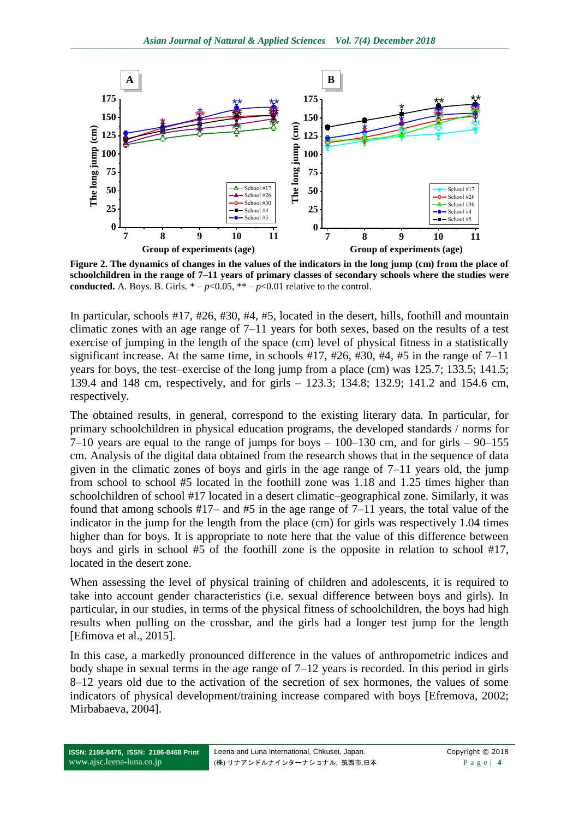

**Figure 2. The dynamics of changes in the values of the indicators in the long jump (cm) from the place of schoolchildren in the range of 7–11 years of primary classes of secondary schools where the studies were conducted.** A. Boys. B. Girls.  $* - p < 0.05$ ,  $** - p < 0.01$  relative to the control.

In particular, schools #17, #26, #30, #4, #5, located in the desert, hills, foothill and mountain climatic zones with an age range of 7–11 years for both sexes, based on the results of a test exercise of jumping in the length of the space (cm) level of physical fitness in a statistically significant increase. At the same time, in schools #17, #26, #30, #4, #5 in the range of 7–11 years for boys, the test–exercise of the long jump from a place (cm) was 125.7; 133.5; 141.5; 139.4 and 148 cm, respectively, and for girls – 123.3; 134.8; 132.9; 141.2 and 154.6 cm, respectively.

The obtained results, in general, correspond to the existing literary data. In particular, for primary schoolchildren in physical education programs, the developed standards / norms for  $7-10$  years are equal to the range of jumps for boys  $-100-130$  cm, and for girls  $-90-155$ cm. Analysis of the digital data obtained from the research shows that in the sequence of data given in the climatic zones of boys and girls in the age range of  $7-11$  years old, the jump from school to school #5 located in the foothill zone was 1.18 and 1.25 times higher than schoolchildren of school #17 located in a desert climatic–geographical zone. Similarly, it was found that among schools #17– and #5 in the age range of 7–11 years, the total value of the indicator in the jump for the length from the place (cm) for girls was respectively 1.04 times higher than for boys. It is appropriate to note here that the value of this difference between boys and girls in school #5 of the foothill zone is the opposite in relation to school #17, located in the desert zone.

When assessing the level of physical training of children and adolescents, it is required to take into account gender characteristics (i.e. sexual difference between boys and girls). In particular, in our studies, in terms of the physical fitness of schoolchildren, the boys had high results when pulling on the crossbar, and the girls had a longer test jump for the length [Efimova et al., 2015].

In this case, a markedly pronounced difference in the values of anthropometric indices and body shape in sexual terms in the age range of 7–12 years is recorded. In this period in girls 8–12 years old due to the activation of the secretion of sex hormones, the values of some indicators of physical development/training increase compared with boys [Efremova, 2002; Mirbabaeva, 2004].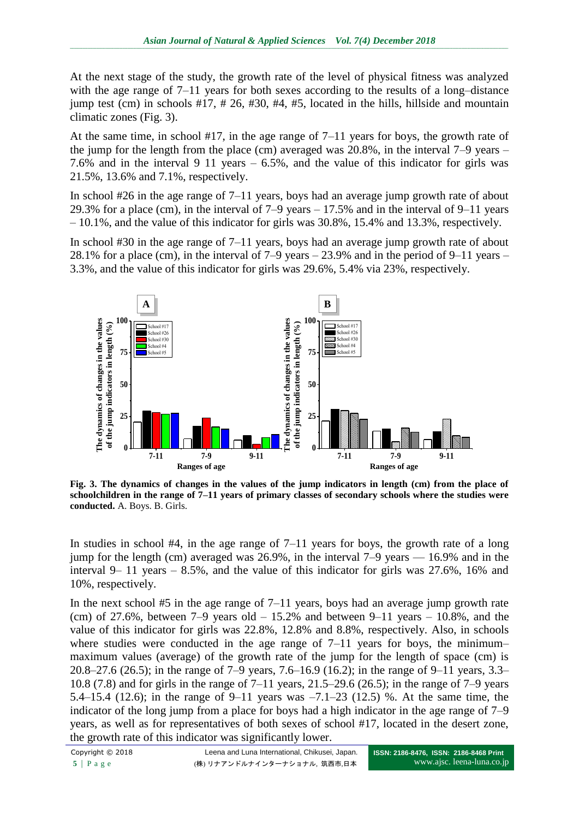At the next stage of the study, the growth rate of the level of physical fitness was analyzed with the age range of 7–11 years for both sexes according to the results of a long–distance jump test (cm) in schools  $#17, #26, #30, #4, #5, located in the hills, hillside and mountain$ climatic zones (Fig. 3).

At the same time, in school #17, in the age range of 7–11 years for boys, the growth rate of the jump for the length from the place (cm) averaged was 20.8%, in the interval 7–9 years – 7.6% and in the interval 9 11 years – 6.5%, and the value of this indicator for girls was 21.5%, 13.6% and 7.1%, respectively.

In school #26 in the age range of 7–11 years, boys had an average jump growth rate of about 29.3% for a place (cm), in the interval of 7–9 years – 17.5% and in the interval of 9–11 years – 10.1%, and the value of this indicator for girls was 30.8%, 15.4% and 13.3%, respectively.

In school #30 in the age range of 7–11 years, boys had an average jump growth rate of about 28.1% for a place (cm), in the interval of 7–9 years – 23.9% and in the period of 9–11 years – 3.3%, and the value of this indicator for girls was 29.6%, 5.4% via 23%, respectively.



**Fig. 3. The dynamics of changes in the values of the jump indicators in length (cm) from the place of schoolchildren in the range of 7–11 years of primary classes of secondary schools where the studies were conducted.** A. Boys. B. Girls.

In studies in school  $#4$ , in the age range of  $7-11$  years for boys, the growth rate of a long jump for the length (cm) averaged was 26.9%, in the interval 7–9 years — 16.9% and in the interval 9– 11 years  $-8.5\%$ , and the value of this indicator for girls was 27.6%, 16% and 10%, respectively.

In the next school  $#5$  in the age range of  $7-11$  years, boys had an average jump growth rate (cm) of 27.6%, between  $7-9$  years old  $-15.2\%$  and between  $9-11$  years  $-10.8\%$ , and the value of this indicator for girls was 22.8%, 12.8% and 8.8%, respectively. Also, in schools where studies were conducted in the age range of  $7-11$  years for boys, the minimummaximum values (average) of the growth rate of the jump for the length of space (cm) is 20.8–27.6 (26.5); in the range of 7–9 years, 7.6–16.9 (16.2); in the range of 9–11 years, 3.3– 10.8 (7.8) and for girls in the range of 7–11 years, 21.5–29.6 (26.5); in the range of 7–9 years 5.4–15.4 (12.6); in the range of 9–11 years was –7.1–23 (12.5) %. At the same time, the indicator of the long jump from a place for boys had a high indicator in the age range of 7–9 years, as well as for representatives of both sexes of school #17, located in the desert zone, the growth rate of this indicator was significantly lower.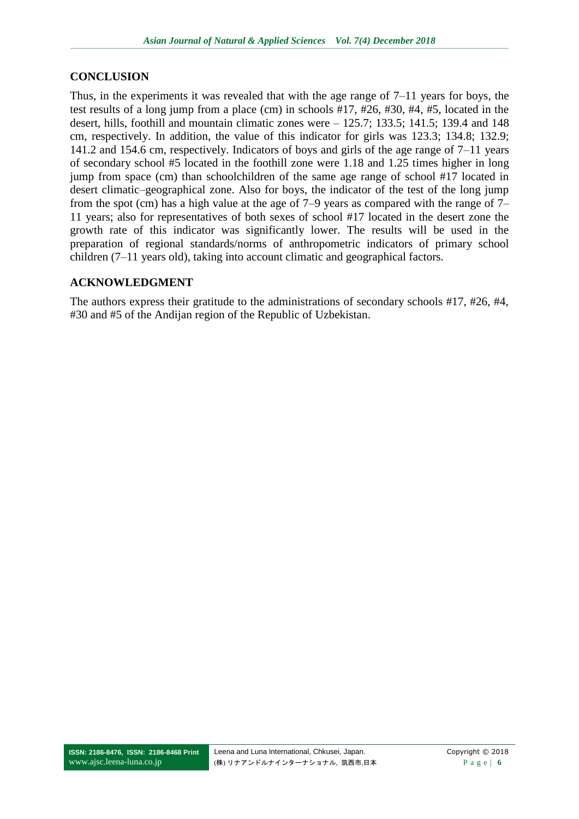### **CONCLUSION**

Thus, in the experiments it was revealed that with the age range of 7–11 years for boys, the test results of a long jump from a place (cm) in schools #17, #26, #30, #4, #5, located in the desert, hills, foothill and mountain climatic zones were – 125.7; 133.5; 141.5; 139.4 and 148 cm, respectively. In addition, the value of this indicator for girls was 123.3; 134.8; 132.9; 141.2 and 154.6 cm, respectively. Indicators of boys and girls of the age range of 7–11 years of secondary school #5 located in the foothill zone were 1.18 and 1.25 times higher in long jump from space (cm) than schoolchildren of the same age range of school #17 located in desert climatic–geographical zone. Also for boys, the indicator of the test of the long jump from the spot (cm) has a high value at the age of 7–9 years as compared with the range of 7– 11 years; also for representatives of both sexes of school #17 located in the desert zone the growth rate of this indicator was significantly lower. The results will be used in the preparation of regional standards/norms of anthropometric indicators of primary school children (7–11 years old), taking into account climatic and geographical factors.

### **ACKNOWLEDGMENT**

The authors express their gratitude to the administrations of secondary schools #17, #26, #4, #30 and #5 of the Andijan region of the Republic of Uzbekistan.